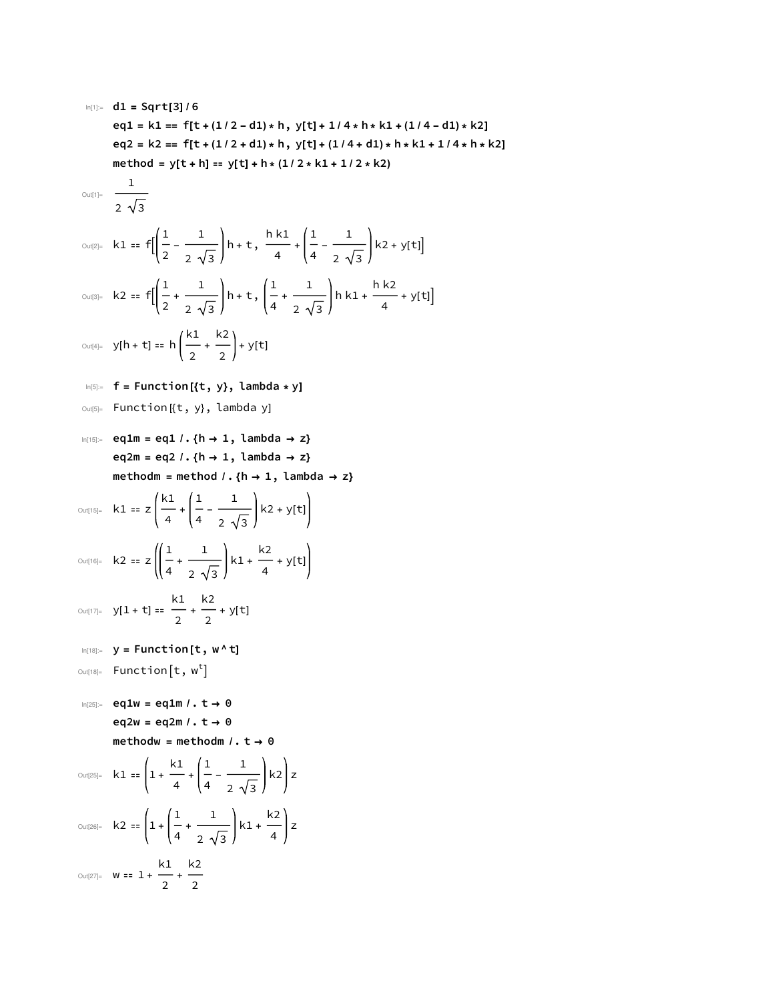In[1]:= **d1 = Sqrt[3] / 6 eq1 = k1 == f[t + (1 / 2 - d1) \* h, y[t] + 1 / 4 \* h \* k1 + (1 / 4 - d1) \* k2] eq2 = k2 == f[t + (1 / 2 + d1) \* h, y[t] + (1 / 4 + d1) \* h \* k1 + 1 / 4 \* h \* k2] method = y[t + h] ⩵ y[t] + h \* (1 / 2 \* k1 + 1 / 2 \* k2)** Out[1]= 1 2 3 Out[2]= k1 ⩵ f 1 2 - 1 2 3 h + t, h k1 <sup>4</sup> <sup>+</sup> 1 4 - 1 2 3 k2 + y[t] Out[3]= k2 ⩵ f 1 2 + 1 2 3 h + t, 1 4 + 1 2 3 h k1 + h k2 <sup>4</sup> <sup>+</sup> <sup>y</sup>[t] Out[4]= y[h + t] ⩵ h k1 2 + k2 <sup>2</sup> <sup>+</sup> <sup>y</sup>[t] In[5]:= **f = Function [{t, y}, lambda \* y]** Out[5]= Function [{t, y}, lambda y] In[15]:= **eq1m = eq1 /. {h → 1, lambda → z} eq2m = eq2 /. {h → 1, lambda → z} methodm = method /. {h → 1, lambda → z}** Out[15]= k1 <sup>⩵</sup> <sup>z</sup> k1 4 + 1 4 - 1 2 3 k2 + y[t] Out[16]= k2 <sup>⩵</sup> <sup>z</sup> <sup>1</sup> 4 + 1 2 3 k1 + k2 <sup>4</sup> <sup>+</sup> <sup>y</sup>[t] Out[17]= y[1 + t] ⩵ k1 2 + k2 <sup>2</sup> <sup>+</sup> <sup>y</sup>[t] In[18]:= **y = Function [t, w ^ t]** Out[18]= Function t, w<sup>t</sup> In[25]:= **eq1w = eq1m /. t → 0 eq2w = eq2m /. t → 0 methodw = methodm /. t → 0** Out[25]= k1 ⩵ 1 + k1 4 + 1 4 - 1 2 3 k2 z Out[26]= k2 ⩵ 1 + 1 4 + 1 2 3 k1 + k2 <sup>4</sup> <sup>z</sup> k1 k2

Out[27]=  $W == 1 +$  $\frac{1}{2}$  +

2